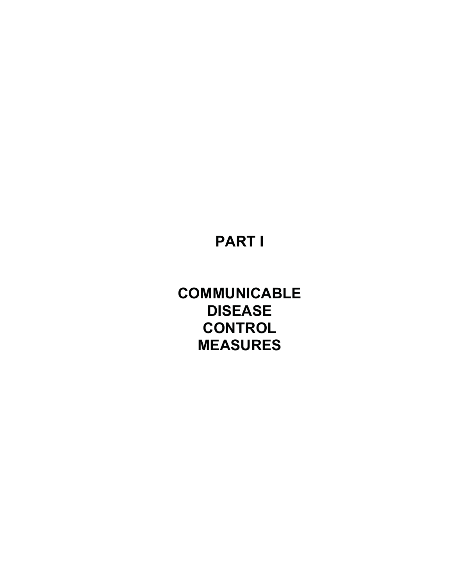# **PART I**

**COMMUNICABLE DISEASE CONTROL MEASURES**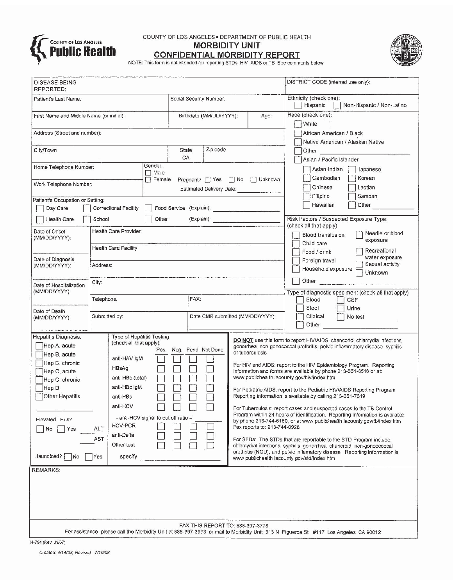

COUNTY OF LOS ANGELES . DEPARTMENT OF PUBLIC HEALTH **MORBIDITY UNIT** 



**CONFIDENTIAL MORBIDITY REPORT** 

|  |  | NOTE: This form is not intended for reporting STDs, HIV AIDS or TB See comments below |
|--|--|---------------------------------------------------------------------------------------|
|  |  |                                                                                       |

| DISEASE BEING<br>REPORTED:                                         |                                 |                                |                              |                                  |  |                                                                                                                                                         | DISTRICT CODE (internal use only):                                                                                                                                                                                                                                 |  |
|--------------------------------------------------------------------|---------------------------------|--------------------------------|------------------------------|----------------------------------|--|---------------------------------------------------------------------------------------------------------------------------------------------------------|--------------------------------------------------------------------------------------------------------------------------------------------------------------------------------------------------------------------------------------------------------------------|--|
| Patient's Last Name:                                               |                                 | Social Security Number:        |                              |                                  |  | Ethnicity (check one):<br>Non-Hispanic / Non-Latino                                                                                                     |                                                                                                                                                                                                                                                                    |  |
| First Name and Middle Name (or initial):                           |                                 |                                | Birthdate (MM/DD/YYYY):      |                                  |  | Age:                                                                                                                                                    | Hispanic<br>Race (check one):                                                                                                                                                                                                                                      |  |
|                                                                    |                                 |                                |                              |                                  |  | White                                                                                                                                                   |                                                                                                                                                                                                                                                                    |  |
| Address (Street and number);                                       |                                 |                                | African American / Black     |                                  |  |                                                                                                                                                         |                                                                                                                                                                                                                                                                    |  |
| Zip code<br>City/Town<br>State                                     |                                 |                                |                              |                                  |  |                                                                                                                                                         | Native American / Alaskan Native<br>Other the contract of the contract of the contract of the contract of the contract of the contract of the contract of the contract of the contract of the contract of the contract of the contract of the contract of the cont |  |
|                                                                    |                                 |                                | CA                           |                                  |  |                                                                                                                                                         | Asian / Pacific Islander                                                                                                                                                                                                                                           |  |
| Home Telephone Number:                                             | Gender:<br>$\Box$ Male          |                                |                              |                                  |  | Asian-Indian<br>Japanese                                                                                                                                |                                                                                                                                                                                                                                                                    |  |
| Work Telephone Number:                                             | $\Box$ Female                   | Pregnant?   Yes   No   Unknown |                              |                                  |  | Cambodian<br>Korean                                                                                                                                     |                                                                                                                                                                                                                                                                    |  |
|                                                                    |                                 |                                |                              |                                  |  |                                                                                                                                                         | Chinese<br>Laotian<br>Filipino<br>Samoan                                                                                                                                                                                                                           |  |
| Patient's Occupation or Setting:<br>Day Care                       | Correctional Facility           |                                |                              |                                  |  |                                                                                                                                                         | Hawaiian<br>Other                                                                                                                                                                                                                                                  |  |
| Health Care<br>School                                              |                                 | Other                          |                              |                                  |  |                                                                                                                                                         | Risk Factors / Suspected Exposure Type:                                                                                                                                                                                                                            |  |
| Date of Onset                                                      | Health Care Provider:           |                                |                              |                                  |  | (check all that apply)<br>Needle or blood<br>Blood transfusion<br>exposure<br>Child care                                                                |                                                                                                                                                                                                                                                                    |  |
| (MM/DD/YYYY):                                                      |                                 |                                |                              |                                  |  |                                                                                                                                                         |                                                                                                                                                                                                                                                                    |  |
|                                                                    | Health Care Facility:           |                                |                              |                                  |  | Recreational<br>Food / drink                                                                                                                            |                                                                                                                                                                                                                                                                    |  |
| Date of Diagnosis<br>(MM/DD/YYYY):                                 | Address:                        |                                |                              |                                  |  | water exposure<br>Foreign travel<br>Sexual activity                                                                                                     |                                                                                                                                                                                                                                                                    |  |
|                                                                    |                                 |                                |                              |                                  |  |                                                                                                                                                         | Household exposure<br>Unknown                                                                                                                                                                                                                                      |  |
| Date of Hospitalization<br>(MM/DD/YYYY):                           | City:                           |                                |                              |                                  |  | Other <b>Communication</b><br>Type of diagnostic specimen: (check all that apply)                                                                       |                                                                                                                                                                                                                                                                    |  |
|                                                                    | Telephone:                      |                                | FAX:                         |                                  |  | Blood<br>CSF                                                                                                                                            |                                                                                                                                                                                                                                                                    |  |
| Date of Death                                                      | Submitted by:                   |                                |                              |                                  |  |                                                                                                                                                         | Stool<br>Urine<br>Clinical                                                                                                                                                                                                                                         |  |
| (MM/DD/YYYY):                                                      |                                 |                                |                              | Date CMR submitted (MM/DD/YYYY): |  |                                                                                                                                                         | No test<br>Other                                                                                                                                                                                                                                                   |  |
| Hepatitis Diagnosis:                                               | Type of Hepatitis Testing       |                                |                              |                                  |  |                                                                                                                                                         |                                                                                                                                                                                                                                                                    |  |
| Hep A, acute                                                       | (check all that apply):         |                                | Pos. Neg. Pend. Not Done     |                                  |  | DO NOT use this form to report HIV/AIDS, chancorid, chlamydia infections,<br>gonorrhea, non-gonococcal urethritis, pelvic inflammatory disease syphilis |                                                                                                                                                                                                                                                                    |  |
| Hep B, acute<br>Hep B. chronic                                     | anti-HAV IgM                    |                                |                              | or tuberculosis                  |  |                                                                                                                                                         |                                                                                                                                                                                                                                                                    |  |
| Hep C, acute                                                       | HBsAg                           |                                |                              |                                  |  | For HIV and AIDS: report to the HIV Epidemiology Program, Reporting<br>information and forms are available by phone 213-351-8516 or at:                 |                                                                                                                                                                                                                                                                    |  |
| Hep C chronic                                                      | anti-HBc (total)                |                                |                              |                                  |  |                                                                                                                                                         | www publichealth lacounty gov/hiv/index htm                                                                                                                                                                                                                        |  |
| Hep D<br>Other Hepatitis                                           | anti-HBc IgM<br>anti-HBs        |                                |                              |                                  |  |                                                                                                                                                         | For Pediatric AIDS: report to the Pediatric HIV/AIDS Reporting Program<br>Reporting information is available by calling 213-351-7319                                                                                                                               |  |
| anti-HCV<br>- anti-HCV signal to cut off ratio =<br>Elevated LFTs? |                                 |                                |                              |                                  |  |                                                                                                                                                         | For Tuberculosis: report cases and suspected cases to the TB Control<br>Program within 24 hours of identification. Reporting information is available<br>by phone 213-744-6160, or at www publichealth lacounty gov/tb/index htm                                   |  |
|                                                                    |                                 |                                |                              |                                  |  |                                                                                                                                                         |                                                                                                                                                                                                                                                                    |  |
| No<br>Yes                                                          | <b>HCV-PCR</b><br>ALT           |                                | Fax reports to: 213-744-0926 |                                  |  |                                                                                                                                                         |                                                                                                                                                                                                                                                                    |  |
|                                                                    | anti-Delta<br>AST<br>Other test |                                |                              |                                  |  |                                                                                                                                                         | For STDs: The STDs that are reportable to the STD Program include:                                                                                                                                                                                                 |  |
| Jaundiced?<br>1No                                                  |                                 |                                |                              |                                  |  |                                                                                                                                                         | chlamydial infections syphilis, gonorrhea chancroid, non-gonoccoccal<br>urethritis (NGU), and pelvic inflamatory disease Reporting information is                                                                                                                  |  |
|                                                                    | Yes<br>specify                  |                                |                              |                                  |  |                                                                                                                                                         | www publichealth lacounty gov/std/index htm                                                                                                                                                                                                                        |  |
| <b>REMARKS:</b>                                                    |                                 |                                |                              |                                  |  |                                                                                                                                                         |                                                                                                                                                                                                                                                                    |  |
|                                                                    |                                 |                                |                              |                                  |  |                                                                                                                                                         |                                                                                                                                                                                                                                                                    |  |
|                                                                    |                                 |                                |                              |                                  |  |                                                                                                                                                         |                                                                                                                                                                                                                                                                    |  |
|                                                                    |                                 |                                |                              |                                  |  |                                                                                                                                                         |                                                                                                                                                                                                                                                                    |  |
| FAX THIS REPORT TO: 888-397-3778                                   |                                 |                                |                              |                                  |  |                                                                                                                                                         |                                                                                                                                                                                                                                                                    |  |
|                                                                    |                                 |                                |                              |                                  |  |                                                                                                                                                         | For assistance please call the Morbidity Unit at 888-397-3993 or mail to Morbidity Unit 313 N Figueroa St #117 Los Angeles CA 90012                                                                                                                                |  |
| H-794 (Rev 01/07)<br>Created: 4/14/08 Revised: 7/10/08             |                                 |                                |                              |                                  |  |                                                                                                                                                         |                                                                                                                                                                                                                                                                    |  |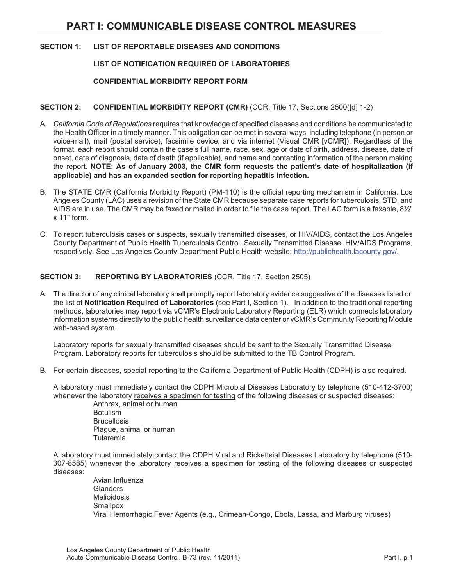#### **SECTION 1: LIST OF REPORTABLE DISEASES AND CONDITIONS**

#### **LIST OF NOTIFICATION REQUIRED OF LABORATORIES**

#### **CONFIDENTIAL MORBIDITY REPORT FORM**

#### **SECTION 2: CONFIDENTIAL MORBIDITY REPORT (CMR)** (CCR, Title 17, Sections 2500([d] 1-2)

- A*. California Code of Regulations* requires that knowledge of specified diseases and conditions be communicated to the Health Officer in a timely manner. This obligation can be met in several ways, including telephone (in person or voice-mail), mail (postal service), facsimile device, and via internet (Visual CMR [vCMR]). Regardless of the format, each report should contain the case's full name, race, sex, age or date of birth, address, disease, date of onset, date of diagnosis, date of death (if applicable), and name and contacting information of the person making the report. **NOTE: As of January 2003, the CMR form requests the patient's date of hospitalization (if applicable) and has an expanded section for reporting hepatitis infection.**
- B. The STATE CMR (California Morbidity Report) (PM-110) is the official reporting mechanism in California. Los Angeles County (LAC) uses a revision of the State CMR because separate case reports for tuberculosis, STD, and AIDS are in use. The CMR may be faxed or mailed in order to file the case report. The LAC form is a faxable, 8½" x 11" form.
- C. To report tuberculosis cases or suspects, sexually transmitted diseases, or HIV/AIDS, contact the Los Angeles County Department of Public Health Tuberculosis Control, Sexually Transmitted Disease, HIV/AIDS Programs, respectively. See Los Angeles County Department Public Health website: http://publichealth.lacounty.gov/.

#### **SECTION 3: REPORTING BY LABORATORIES** (CCR, Title 17, Section 2505)

A. The director of any clinical laboratory shall promptly report laboratory evidence suggestive of the diseases listed on the list of **Notification Required of Laboratories** (see Part I, Section 1). In addition to the traditional reporting methods, laboratories may report via vCMR's Electronic Laboratory Reporting (ELR) which connects laboratory information systems directly to the public health surveillance data center or vCMR's Community Reporting Module web-based system.

Laboratory reports for sexually transmitted diseases should be sent to the Sexually Transmitted Disease Program. Laboratory reports for tuberculosis should be submitted to the TB Control Program.

B. For certain diseases, special reporting to the California Department of Public Health (CDPH) is also required.

A laboratory must immediately contact the CDPH Microbial Diseases Laboratory by telephone (510-412-3700) whenever the laboratory receives a specimen for testing of the following diseases or suspected diseases:

Anthrax, animal or human Botulism **Brucellosis** Plague, animal or human Tularemia

A laboratory must immediately contact the CDPH Viral and Rickettsial Diseases Laboratory by telephone (510- 307-8585) whenever the laboratory receives a specimen for testing of the following diseases or suspected diseases:

Avian Influenza **Glanders** Melioidosis **Smallpox** Viral Hemorrhagic Fever Agents (e.g., Crimean-Congo, Ebola, Lassa, and Marburg viruses)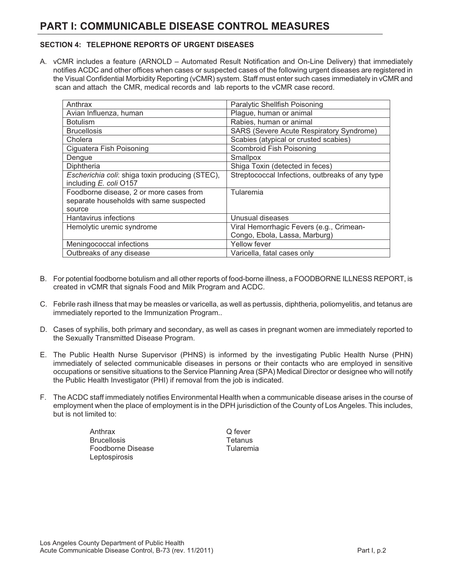#### **SECTION 4: TELEPHONE REPORTS OF URGENT DISEASES**

A. vCMR includes a feature (ARNOLD – Automated Result Notification and On-Line Delivery) that immediately notifies ACDC and other offices when cases or suspected cases of the following urgent diseases are registered in the Visual Confidential Morbidity Reporting (vCMR) system. Staff must enter such cases immediately in vCMR and scan and attach the CMR, medical records and lab reports to the vCMR case record.

| Anthrax                                         | Paralytic Shellfish Poisoning                   |
|-------------------------------------------------|-------------------------------------------------|
| Avian Influenza, human                          | Plague, human or animal                         |
| <b>Botulism</b>                                 | Rabies, human or animal                         |
| <b>Brucellosis</b>                              | SARS (Severe Acute Respiratory Syndrome)        |
| Cholera                                         | Scabies (atypical or crusted scabies)           |
| Ciguatera Fish Poisoning                        | Scombroid Fish Poisoning                        |
| Dengue                                          | Smallpox                                        |
| Diphtheria                                      | Shiga Toxin (detected in feces)                 |
| Escherichia coli: shiga toxin producing (STEC), | Streptococcal Infections, outbreaks of any type |
| including E. coli O157                          |                                                 |
| Foodborne disease, 2 or more cases from         | Tularemia                                       |
| separate households with same suspected         |                                                 |
| source                                          |                                                 |
| <b>Hantavirus infections</b>                    | Unusual diseases                                |
| Hemolytic uremic syndrome                       | Viral Hemorrhagic Fevers (e.g., Crimean-        |
|                                                 | Congo, Ebola, Lassa, Marburg)                   |
| Meningococcal infections                        | <b>Yellow fever</b>                             |
| Outbreaks of any disease                        | Varicella, fatal cases only                     |

- B. For potential foodborne botulism and all other reports of food-borne illness, a FOODBORNE ILLNESS REPORT, is created in vCMR that signals Food and Milk Program and ACDC.
- C. Febrile rash illness that may be measles or varicella, as well as pertussis, diphtheria, poliomyelitis, and tetanus are immediately reported to the Immunization Program..
- D. Cases of syphilis, both primary and secondary, as well as cases in pregnant women are immediately reported to the Sexually Transmitted Disease Program.
- E. The Public Health Nurse Supervisor (PHNS) is informed by the investigating Public Health Nurse (PHN) immediately of selected communicable diseases in persons or their contacts who are employed in sensitive occupations or sensitive situations to the Service Planning Area (SPA) Medical Director or designee who will notify the Public Health Investigator (PHI) if removal from the job is indicated.
- F. The ACDC staff immediately notifies Environmental Health when a communicable disease arises in the course of employment when the place of employment is in the DPH jurisdiction of the County of Los Angeles. This includes, but is not limited to:

Anthrax **Brucellosis** Foodborne Disease Leptospirosis

Q fever **Tetanus** Tularemia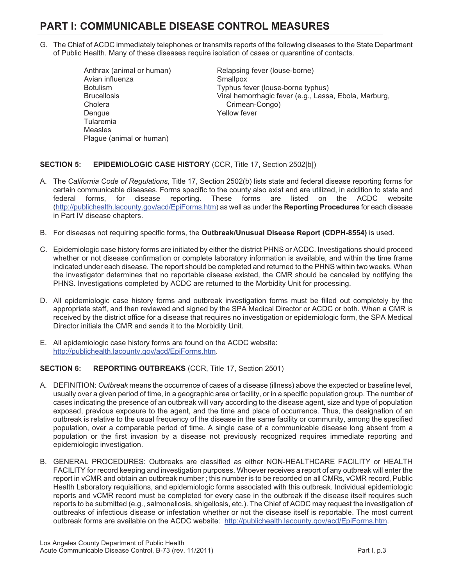- G. The Chief of ACDC immediately telephones or transmits reports of the following diseases to the State Department of Public Health. Many of these diseases require isolation of cases or quarantine of contacts.
	- Anthrax (animal or human) Avian influenza Botulism **Brucellosis** Cholera Dengue Tularemia Measles Plague (animal or human)

Relapsing fever (louse-borne) **Smallpox** Typhus fever (louse-borne typhus) Viral hemorrhagic fever (e.g., Lassa, Ebola, Marburg, Crimean-Congo) Yellow fever

#### **SECTION 5: EPIDEMIOLOGIC CASE HISTORY** (CCR, Title 17, Section 2502[b])

- A. The *California Code of Regulations*, Title 17, Section 2502(b) lists state and federal disease reporting forms for certain communicable diseases. Forms specific to the county also exist and are utilized, in addition to state and federal forms, for disease reporting. These forms are listed on the ACDC website (http://publichealth.lacounty.gov/acd/EpiForms.htm) as well as under the **Reporting Procedures** for each disease in Part IV disease chapters.
- B. For diseases not requiring specific forms, the **Outbreak/Unusual Disease Report (CDPH-8554)** is used.
- C. Epidemiologic case history forms are initiated by either the district PHNS or ACDC. Investigations should proceed whether or not disease confirmation or complete laboratory information is available, and within the time frame indicated under each disease. The report should be completed and returned to the PHNS within two weeks. When the investigator determines that no reportable disease existed, the CMR should be canceled by notifying the PHNS. Investigations completed by ACDC are returned to the Morbidity Unit for processing.
- D. All epidemiologic case history forms and outbreak investigation forms must be filled out completely by the appropriate staff, and then reviewed and signed by the SPA Medical Director or ACDC or both. When a CMR is received by the district office for a disease that requires no investigation or epidemiologic form, the SPA Medical Director initials the CMR and sends it to the Morbidity Unit.
- E. All epidemiologic case history forms are found on the ACDC website: http://publichealth.lacounty.gov/acd/EpiForms.htm.

#### **SECTION 6: REPORTING OUTBREAKS** (CCR, Title 17, Section 2501)

- A. DEFINITION: *Outbreak* means the occurrence of cases of a disease (illness) above the expected or baseline level, usually over a given period of time, in a geographic area or facility, or in a specific population group. The number of cases indicating the presence of an outbreak will vary according to the disease agent, size and type of population exposed, previous exposure to the agent, and the time and place of occurrence. Thus, the designation of an outbreak is relative to the usual frequency of the disease in the same facility or community, among the specified population, over a comparable period of time. A single case of a communicable disease long absent from a population or the first invasion by a disease not previously recognized requires immediate reporting and epidemiologic investigation.
- B. GENERAL PROCEDURES: Outbreaks are classified as either NON-HEALTHCARE FACILITY or HEALTH FACILITY for record keeping and investigation purposes. Whoever receives a report of any outbreak will enter the report in vCMR and obtain an outbreak number ; this number is to be recorded on all CMRs, vCMR record, Public Health Laboratory requisitions, and epidemiologic forms associated with this outbreak. Individual epidemiologic reports and vCMR record must be completed for every case in the outbreak if the disease itself requires such reports to be submitted (e.g., salmonellosis, shigellosis, etc.). The Chief of ACDC may request the investigation of outbreaks of infectious disease or infestation whether or not the disease itself is reportable. The most current outbreak forms are available on the ACDC website: http://publichealth.lacounty.gov/acd/EpiForms.htm.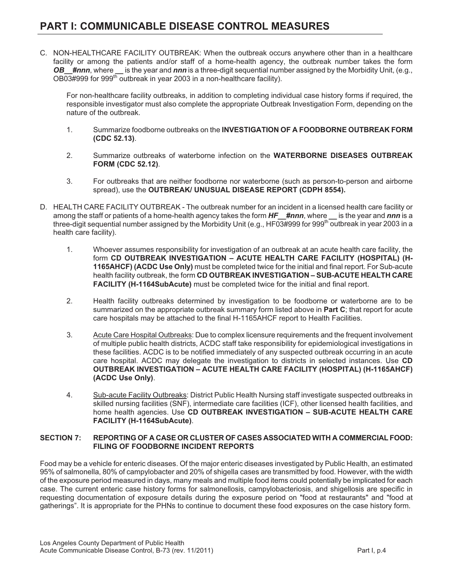C. NON-HEALTHCARE FACILITY OUTBREAK: When the outbreak occurs anywhere other than in a healthcare facility or among the patients and/or staff of a home-health agency, the outbreak number takes the form *OB***\_\_***#nnn*, where **\_\_** is the year and *nnn* is a three-digit sequential number assigned by the Morbidity Unit, (e.g., OB03#999 for 999<sup>th</sup> outbreak in year 2003 in a non-healthcare facility).

For non-healthcare facility outbreaks, in addition to completing individual case history forms if required, the responsible investigator must also complete the appropriate Outbreak Investigation Form, depending on the nature of the outbreak.

- 1. Summarize foodborne outbreaks on the **INVESTIGATION OF A FOODBORNE OUTBREAK FORM (CDC 52.13)**.
- 2. Summarize outbreaks of waterborne infection on the **WATERBORNE DISEASES OUTBREAK FORM (CDC 52.12)**.
- 3. For outbreaks that are neither foodborne nor waterborne (such as person-to-person and airborne spread), use the **OUTBREAK/ UNUSUAL DISEASE REPORT (CDPH 8554).**
- D. HEALTH CARE FACILITY OUTBREAK The outbreak number for an incident in a licensed health care facility or among the staff or patients of a home-health agency takes the form *HF***\_\_***#nnn*, where **\_\_** is the year and *nnn* is a three-digit sequential number assigned by the Morbidity Unit (e.g., HF03#999 for 999<sup>th</sup> outbreak in year 2003 in a health care facility).
	- 1. Whoever assumes responsibility for investigation of an outbreak at an acute health care facility, the form **CD OUTBREAK INVESTIGATION – ACUTE HEALTH CARE FACILITY (HOSPITAL) (H-1165AHCF) (ACDC Use Only)** must be completed twice for the initial and final report. For Sub-acute health facility outbreak, the form **CD OUTBREAK INVESTIGATION – SUB-ACUTE HEALTH CARE FACILITY (H-1164SubAcute)** must be completed twice for the initial and final report.
	- 2. Health facility outbreaks determined by investigation to be foodborne or waterborne are to be summarized on the appropriate outbreak summary form listed above in **Part C**; that report for acute care hospitals may be attached to the final H-1165AHCF report to Health Facilities.
	- 3. Acute Care Hospital Outbreaks: Due to complex licensure requirements and the frequent involvement of multiple public health districts, ACDC staff take responsibility for epidemiological investigations in these facilities. ACDC is to be notified immediately of any suspected outbreak occurring in an acute care hospital. ACDC may delegate the investigation to districts in selected instances. Use **CD OUTBREAK INVESTIGATION – ACUTE HEALTH CARE FACILITY (HOSPITAL) (H-1165AHCF) (ACDC Use Only)**.
	- 4. Sub-acute Facility Outbreaks: District Public Health Nursing staff investigate suspected outbreaks in skilled nursing facilities (SNF), intermediate care facilities (ICF), other licensed health facilities, and home health agencies. Use **CD OUTBREAK INVESTIGATION – SUB-ACUTE HEALTH CARE FACILITY (H-1164SubAcute)**.

#### **SECTION 7: REPORTING OF A CASE OR CLUSTER OF CASES ASSOCIATED WITH A COMMERCIAL FOOD: FILING OF FOODBORNE INCIDENT REPORTS**

Food may be a vehicle for enteric diseases. Of the major enteric diseases investigated by Public Health, an estimated 95% of salmonella, 80% of campylobacter and 20% of shigella cases are transmitted by food. However, with the width of the exposure period measured in days, many meals and multiple food items could potentially be implicated for each case. The current enteric case history forms for salmonellosis, campylobacteriosis, and shigellosis are specific in requesting documentation of exposure details during the exposure period on "food at restaurants" and "food at gatherings". It is appropriate for the PHNs to continue to document these food exposures on the case history form.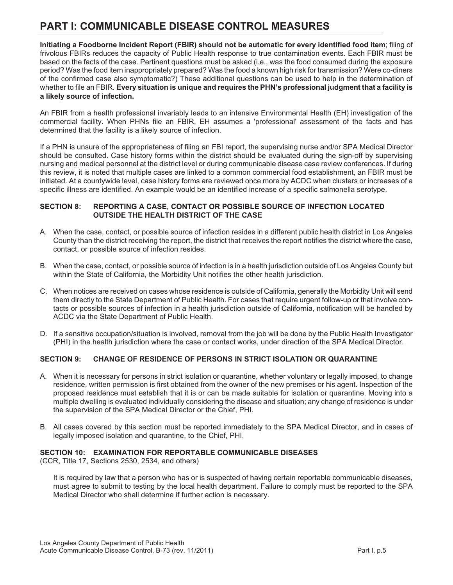**Initiating a Foodborne Incident Report (FBIR) should not be automatic for every identified food item**; filing of frivolous FBIRs reduces the capacity of Public Health response to true contamination events. Each FBIR must be based on the facts of the case. Pertinent questions must be asked (i.e., was the food consumed during the exposure period? Was the food item inappropriately prepared? Was the food a known high risk for transmission? Were co-diners of the confirmed case also symptomatic?) These additional questions can be used to help in the determination of whether to file an FBIR. **Every situation is unique and requires the PHN's professional judgment that a facility is a likely source of infection.** 

An FBIR from a health professional invariably leads to an intensive Environmental Health (EH) investigation of the commercial facility. When PHNs file an FBIR, EH assumes a 'professional' assessment of the facts and has determined that the facility is a likely source of infection.

If a PHN is unsure of the appropriateness of filing an FBI report, the supervising nurse and/or SPA Medical Director should be consulted. Case history forms within the district should be evaluated during the sign-off by supervising nursing and medical personnel at the district level or during communicable disease case review conferences. If during this review, it is noted that multiple cases are linked to a common commercial food establishment, an FBIR must be initiated. At a countywide level, case history forms are reviewed once more by ACDC when clusters or increases of a specific illness are identified. An example would be an identified increase of a specific salmonella serotype.

#### **SECTION 8: REPORTING A CASE, CONTACT OR POSSIBLE SOURCE OF INFECTION LOCATED OUTSIDE THE HEALTH DISTRICT OF THE CASE**

- A. When the case, contact, or possible source of infection resides in a different public health district in Los Angeles County than the district receiving the report, the district that receives the report notifies the district where the case, contact, or possible source of infection resides.
- B. When the case, contact, or possible source of infection is in a health jurisdiction outside of Los Angeles County but within the State of California, the Morbidity Unit notifies the other health jurisdiction.
- C. When notices are received on cases whose residence is outside of California, generally the Morbidity Unit will send them directly to the State Department of Public Health. For cases that require urgent follow-up or that involve contacts or possible sources of infection in a health jurisdiction outside of California, notification will be handled by ACDC via the State Department of Public Health.
- D. If a sensitive occupation/situation is involved, removal from the job will be done by the Public Health Investigator (PHI) in the health jurisdiction where the case or contact works, under direction of the SPA Medical Director.

#### **SECTION 9: CHANGE OF RESIDENCE OF PERSONS IN STRICT ISOLATION OR QUARANTINE**

- A. When it is necessary for persons in strict isolation or quarantine, whether voluntary or legally imposed, to change residence, written permission is first obtained from the owner of the new premises or his agent. Inspection of the proposed residence must establish that it is or can be made suitable for isolation or quarantine. Moving into a multiple dwelling is evaluated individually considering the disease and situation; any change of residence is under the supervision of the SPA Medical Director or the Chief, PHI.
- B. All cases covered by this section must be reported immediately to the SPA Medical Director, and in cases of legally imposed isolation and quarantine, to the Chief, PHI.

#### **SECTION 10: EXAMINATION FOR REPORTABLE COMMUNICABLE DISEASES**

(CCR, Title 17, Sections 2530, 2534, and others)

It is required by law that a person who has or is suspected of having certain reportable communicable diseases, must agree to submit to testing by the local health department. Failure to comply must be reported to the SPA Medical Director who shall determine if further action is necessary.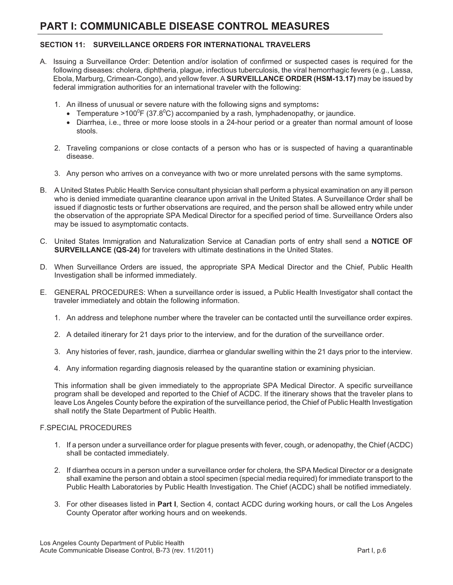#### **SECTION 11: SURVEILLANCE ORDERS FOR INTERNATIONAL TRAVELERS**

- A. Issuing a Surveillance Order: Detention and/or isolation of confirmed or suspected cases is required for the following diseases: cholera, diphtheria, plague, infectious tuberculosis, the viral hemorrhagic fevers (e.g., Lassa, Ebola, Marburg, Crimean-Congo), and yellow fever. A **SURVEILLANCE ORDER (HSM-13.17)** may be issued by federal immigration authorities for an international traveler with the following:
	- 1. An illness of unusual or severe nature with the following signs and symptoms**:**
		- Temperature >100<sup>0</sup>F (37.8<sup>0</sup>C) accompanied by a rash, lymphadenopathy, or jaundice.
		- - Diarrhea, i.e., three or more loose stools in a 24-hour period or a greater than normal amount of loose stools.
	- 2. Traveling companions or close contacts of a person who has or is suspected of having a quarantinable disease.
	- 3. Any person who arrives on a conveyance with two or more unrelated persons with the same symptoms.
- B. A United States Public Health Service consultant physician shall perform a physical examination on any ill person who is denied immediate quarantine clearance upon arrival in the United States. A Surveillance Order shall be issued if diagnostic tests or further observations are required, and the person shall be allowed entry while under the observation of the appropriate SPA Medical Director for a specified period of time. Surveillance Orders also may be issued to asymptomatic contacts.
- C. United States Immigration and Naturalization Service at Canadian ports of entry shall send a **NOTICE OF SURVEILLANCE (QS-24)** for travelers with ultimate destinations in the United States.
- D. When Surveillance Orders are issued, the appropriate SPA Medical Director and the Chief, Public Health Investigation shall be informed immediately.
- E. GENERAL PROCEDURES: When a surveillance order is issued, a Public Health Investigator shall contact the traveler immediately and obtain the following information.
	- 1. An address and telephone number where the traveler can be contacted until the surveillance order expires.
	- 2. A detailed itinerary for 21 days prior to the interview, and for the duration of the surveillance order.
	- 3. Any histories of fever, rash, jaundice, diarrhea or glandular swelling within the 21 days prior to the interview.
	- 4. Any information regarding diagnosis released by the quarantine station or examining physician.

This information shall be given immediately to the appropriate SPA Medical Director. A specific surveillance program shall be developed and reported to the Chief of ACDC. If the itinerary shows that the traveler plans to leave Los Angeles County before the expiration of the surveillance period, the Chief of Public Health Investigation shall notify the State Department of Public Health.

#### F.SPECIAL PROCEDURES

- 1. If a person under a surveillance order for plague presents with fever, cough, or adenopathy, the Chief (ACDC) shall be contacted immediately.
- 2. If diarrhea occurs in a person under a surveillance order for cholera, the SPA Medical Director or a designate shall examine the person and obtain a stool specimen (special media required) for immediate transport to the Public Health Laboratories by Public Health Investigation. The Chief (ACDC) shall be notified immediately.
- 3. For other diseases listed in **Part I**, Section 4, contact ACDC during working hours, or call the Los Angeles County Operator after working hours and on weekends.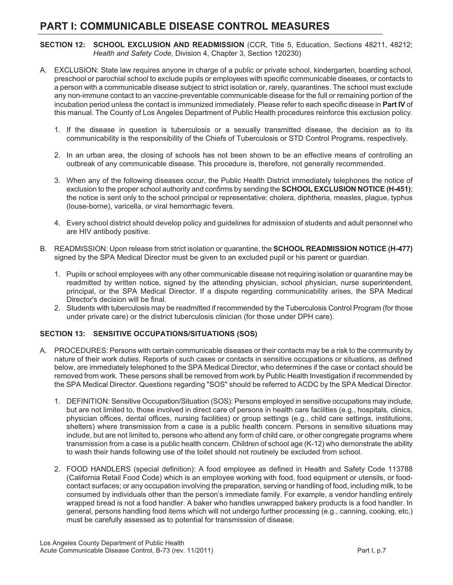**SECTION 12: SCHOOL EXCLUSION AND READMISSION** (CCR, Title 5, Education, Sections 48211, 48212; *Health and Safety Code*, Division 4, Chapter 3, Section 120230)

- A. EXCLUSION: State law requires anyone in charge of a public or private school, kindergarten, boarding school, preschool or parochial school to exclude pupils or employees with specific communicable diseases, or contacts to a person with a communicable disease subject to strict isolation or, rarely, quarantines. The school must exclude any non-immune contact to an vaccine-preventable communicable disease for the full or remaining portion of the incubation period unless the contact is immunized immediately. Please refer to each specific disease in **Part IV** of this manual. The County of Los Angeles Department of Public Health procedures reinforce this exclusion policy.
	- 1. If the disease in question is tuberculosis or a sexually transmitted disease, the decision as to its communicability is the responsibility of the Chiefs of Tuberculosis or STD Control Programs, respectively.
	- 2. In an urban area, the closing of schools has not been shown to be an effective means of controlling an outbreak of any communicable disease. This procedure is, therefore, not generally recommended.
	- 3. When any of the following diseases occur, the Public Health District immediately telephones the notice of exclusion to the proper school authority and confirms by sending the **SCHOOL EXCLUSION NOTICE (H-451)**; the notice is sent only to the school principal or representative: cholera, diphtheria, measles, plague, typhus (louse-borne), varicella, or viral hemorrhagic fevers.
	- 4. Every school district should develop policy and guidelines for admission of students and adult personnel who are HIV antibody positive.
- B. READMISSION: Upon release from strict isolation or quarantine, the **SCHOOL READMISSION NOTICE (H-477)** signed by the SPA Medical Director must be given to an excluded pupil or his parent or guardian.
	- 1. Pupils or school employees with any other communicable disease not requiring isolation or quarantine may be readmitted by written notice, signed by the attending physician, school physician, nurse superintendent, principal, or the SPA Medical Director. If a dispute regarding communicability arises, the SPA Medical Director's decision will be final.
	- 2. Students with tuberculosis may be readmitted if recommended by the Tuberculosis Control Program (for those under private care) or the district tuberculosis clinician (for those under DPH care).

#### **SECTION 13: SENSITIVE OCCUPATIONS/SITUATIONS (SOS)**

- A. PROCEDURES: Persons with certain communicable diseases or their contacts may be a risk to the community by nature of their work duties. Reports of such cases or contacts in sensitive occupations or situations, as defined below, are immediately telephoned to the SPA Medical Director, who determines if the case or contact should be removed from work. These persons shall be removed from work by Public Health Investigation if recommended by the SPA Medical Director. Questions regarding "SOS" should be referred to ACDC by the SPA Medical Director.
	- 1. DEFINITION: Sensitive Occupation/Situation (SOS): Persons employed in sensitive occupations may include, but are not limited to, those involved in direct care of persons in health care facilities (e.g., hospitals, clinics, physician offices, dental offices, nursing facilities) or group settings (e.g., child care settings, institutions, shelters) where transmission from a case is a public health concern. Persons in sensitive situations may include, but are not limited to, persons who attend any form of child care, or other congregate programs where transmission from a case is a public health concern. Children of school age (K-12) who demonstrate the ability to wash their hands following use of the toilet should not routinely be excluded from school.
	- 2. FOOD HANDLERS (special definition): A food employee as defined in Health and Safety Code 113788 (California Retail Food Code) which is an employee working with food, food equipment or utensils, or foodcontact surfaces; or any occupation involving the preparation, serving or handling of food, including milk, to be consumed by individuals other than the person's immediate family. For example, a vendor handling entirely wrapped bread is not a food handler. A baker who handles unwrapped bakery products is a food handler. In general, persons handling food items which will not undergo further processing (e.g., canning, cooking, etc.) must be carefully assessed as to potential for transmission of disease.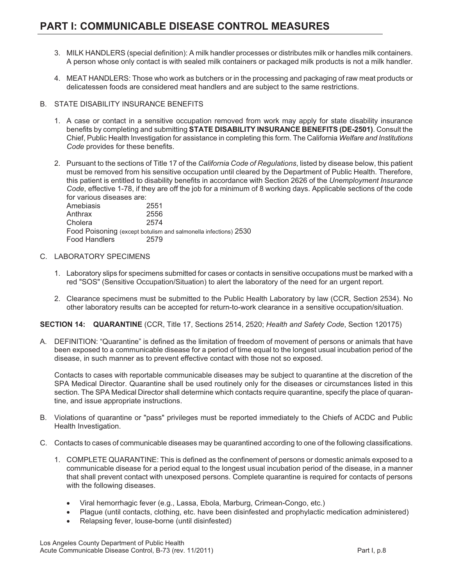- 3. MILK HANDLERS (special definition): A milk handler processes or distributes milk or handles milk containers. A person whose only contact is with sealed milk containers or packaged milk products is not a milk handler.
- 4. MEAT HANDLERS: Those who work as butchers or in the processing and packaging of raw meat products or delicatessen foods are considered meat handlers and are subject to the same restrictions.
- B. STATE DISABILITY INSURANCE BENEFITS
	- 1. A case or contact in a sensitive occupation removed from work may apply for state disability insurance benefits by completing and submitting **STATE DISABILITY INSURANCE BENEFITS (DE-2501)**. Consult the Chief, Public Health Investigation for assistance in completing this form. The California *Welfare and Institutions Code* provides for these benefits.
	- 2. Pursuant to the sections of Title 17 of the *California Code of Regulations*, listed by disease below, this patient must be removed from his sensitive occupation until cleared by the Department of Public Health. Therefore, this patient is entitled to disability benefits in accordance with Section 2626 of the *Unemployment Insurance Code*, effective 1-78, if they are off the job for a minimum of 8 working days. Applicable sections of the code for various diseases are:

Amebiasis 2551 Anthrax 2556 Cholera 2574 Food Poisoning (except botulism and salmonella infections) 2530 Food Handlers 2579

- C. LABORATORY SPECIMENS
	- 1. Laboratory slips for specimens submitted for cases or contacts in sensitive occupations must be marked with a red "SOS" (Sensitive Occupation/Situation) to alert the laboratory of the need for an urgent report.
	- 2. Clearance specimens must be submitted to the Public Health Laboratory by law (CCR, Section 2534). No other laboratory results can be accepted for return-to-work clearance in a sensitive occupation/situation.

**SECTION 14: QUARANTINE** (CCR, Title 17, Sections 2514, 2520; *Health and Safety Code*, Section 120175)

A. DEFINITION: "Quarantine" is defined as the limitation of freedom of movement of persons or animals that have been exposed to a communicable disease for a period of time equal to the longest usual incubation period of the disease, in such manner as to prevent effective contact with those not so exposed.

 Contacts to cases with reportable communicable diseases may be subject to quarantine at the discretion of the SPA Medical Director. Quarantine shall be used routinely only for the diseases or circumstances listed in this section. The SPA Medical Director shall determine which contacts require quarantine, specify the place of quarantine, and issue appropriate instructions.

- B. Violations of quarantine or "pass" privileges must be reported immediately to the Chiefs of ACDC and Public Health Investigation.
- C. Contacts to cases of communicable diseases may be quarantined according to one of the following classifications.
	- 1. COMPLETE QUARANTINE: This is defined as the confinement of persons or domestic animals exposed to a communicable disease for a period equal to the longest usual incubation period of the disease, in a manner that shall prevent contact with unexposed persons. Complete quarantine is required for contacts of persons with the following diseases.
		- -Viral hemorrhagic fever (e.g., Lassa, Ebola, Marburg, Crimean-Congo, etc.)
		- $\bullet$ Plague (until contacts, clothing, etc. have been disinfested and prophylactic medication administered)
		- -Relapsing fever, louse-borne (until disinfested)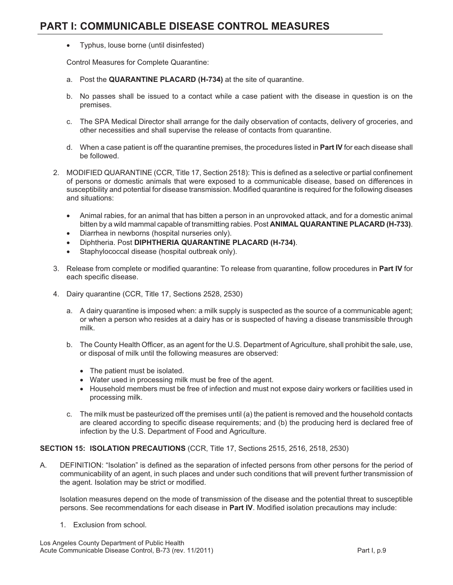$\bullet$ Typhus, louse borne (until disinfested)

Control Measures for Complete Quarantine:

- a. Post the **QUARANTINE PLACARD (H-734)** at the site of quarantine.
- b. No passes shall be issued to a contact while a case patient with the disease in question is on the premises.
- c. The SPA Medical Director shall arrange for the daily observation of contacts, delivery of groceries, and other necessities and shall supervise the release of contacts from quarantine.
- d. When a case patient is off the quarantine premises, the procedures listed in **Part IV** for each disease shall be followed.
- 2. MODIFIED QUARANTINE (CCR, Title 17, Section 2518): This is defined as a selective or partial confinement of persons or domestic animals that were exposed to a communicable disease, based on differences in susceptibility and potential for disease transmission. Modified quarantine is required for the following diseases and situations:
	- $\bullet$  Animal rabies, for an animal that has bitten a person in an unprovoked attack, and for a domestic animal bitten by a wild mammal capable of transmitting rabies. Post **ANIMAL QUARANTINE PLACARD (H-733)**.
	- $\bullet$ Diarrhea in newborns (hospital nurseries only).
	- -Diphtheria. Post **DIPHTHERIA QUARANTINE PLACARD (H-734)**.
	- $\bullet$ Staphylococcal disease (hospital outbreak only).
- 3. Release from complete or modified quarantine: To release from quarantine, follow procedures in **Part IV** for each specific disease.
- 4. Dairy quarantine (CCR, Title 17, Sections 2528, 2530)
	- a. A dairy quarantine is imposed when: a milk supply is suspected as the source of a communicable agent; or when a person who resides at a dairy has or is suspected of having a disease transmissible through milk.
	- b. The County Health Officer, as an agent for the U.S. Department of Agriculture, shall prohibit the sale, use, or disposal of milk until the following measures are observed:
		- The patient must be isolated.
		- Water used in processing milk must be free of the agent.
		- Household members must be free of infection and must not expose dairy workers or facilities used in processing milk.
	- c. The milk must be pasteurized off the premises until (a) the patient is removed and the household contacts are cleared according to specific disease requirements; and (b) the producing herd is declared free of infection by the U.S. Department of Food and Agriculture.

#### **SECTION 15: ISOLATION PRECAUTIONS** (CCR, Title 17, Sections 2515, 2516, 2518, 2530)

A. DEFINITION: "Isolation" is defined as the separation of infected persons from other persons for the period of communicability of an agent, in such places and under such conditions that will prevent further transmission of the agent. Isolation may be strict or modified.

Isolation measures depend on the mode of transmission of the disease and the potential threat to susceptible persons. See recommendations for each disease in **Part IV**. Modified isolation precautions may include:

1. Exclusion from school.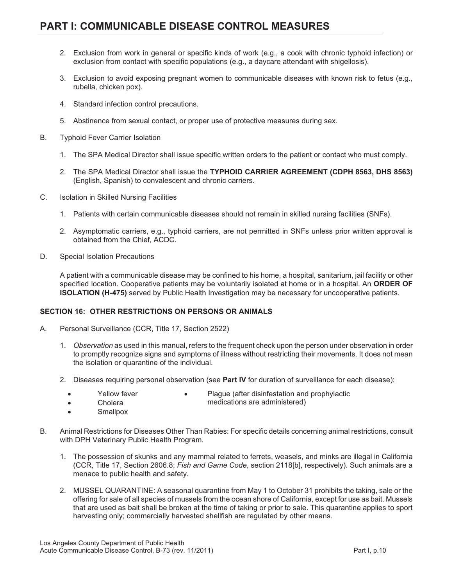- 2. Exclusion from work in general or specific kinds of work (e.g., a cook with chronic typhoid infection) or exclusion from contact with specific populations (e.g., a daycare attendant with shigellosis).
- 3. Exclusion to avoid exposing pregnant women to communicable diseases with known risk to fetus (e.g., rubella, chicken pox).
- 4. Standard infection control precautions.
- 5. Abstinence from sexual contact, or proper use of protective measures during sex.
- B. Typhoid Fever Carrier Isolation
	- 1. The SPA Medical Director shall issue specific written orders to the patient or contact who must comply.
	- 2. The SPA Medical Director shall issue the **TYPHOID CARRIER AGREEMENT (CDPH 8563, DHS 8563)** (English, Spanish) to convalescent and chronic carriers.
- C. Isolation in Skilled Nursing Facilities
	- 1. Patients with certain communicable diseases should not remain in skilled nursing facilities (SNFs).
	- 2. Asymptomatic carriers, e.g., typhoid carriers, are not permitted in SNFs unless prior written approval is obtained from the Chief, ACDC.
- D. Special Isolation Precautions

A patient with a communicable disease may be confined to his home, a hospital, sanitarium, jail facility or other specified location. Cooperative patients may be voluntarily isolated at home or in a hospital. An **ORDER OF ISOLATION (H-475)** served by Public Health Investigation may be necessary for uncooperative patients.

#### **SECTION 16: OTHER RESTRICTIONS ON PERSONS OR ANIMALS**

- A. Personal Surveillance (CCR, Title 17, Section 2522)
	- 1. *Observation* as used in this manual, refers to the frequent check upon the person under observation in order to promptly recognize signs and symptoms of illness without restricting their movements. It does not mean the isolation or quarantine of the individual.
	- 2. Diseases requiring personal observation (see **Part IV** for duration of surveillance for each disease):

-

- -Yellow fever
- Plague (after disinfestation and prophylactic

 $\bullet$ Cholera medications are administered)

- -**Smallpox**
- B. Animal Restrictions for Diseases Other Than Rabies: For specific details concerning animal restrictions, consult with DPH Veterinary Public Health Program.
	- 1. The possession of skunks and any mammal related to ferrets, weasels, and minks are illegal in California (CCR, Title 17, Section 2606.8; *Fish and Game Code*, section 2118[b], respectively). Such animals are a menace to public health and safety.
	- 2. MUSSEL QUARANTINE: A seasonal quarantine from May 1 to October 31 prohibits the taking, sale or the offering for sale of all species of mussels from the ocean shore of California, except for use as bait. Mussels that are used as bait shall be broken at the time of taking or prior to sale. This quarantine applies to sport harvesting only; commercially harvested shellfish are regulated by other means.